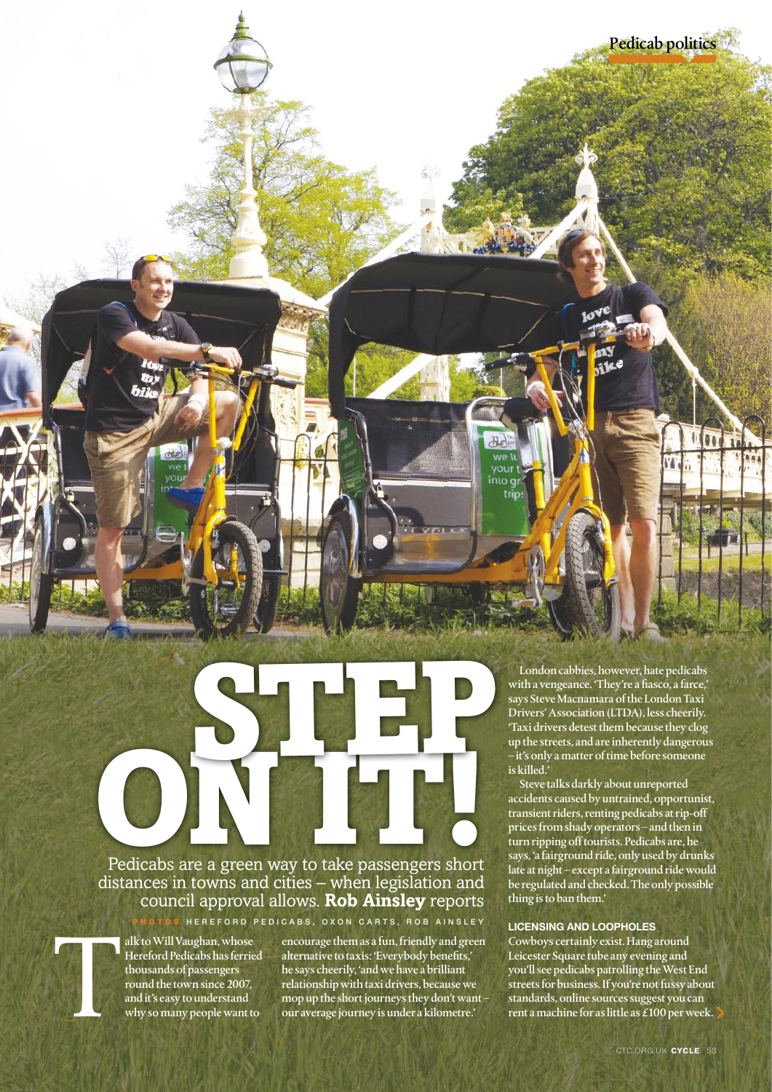Pedicabs are a green way to take passengers short distances in towns and cities – when legislation and council approval allows. **Rob Ainsley** reports Pedicabs are a green way to take passengers short

HEREFORD PEDICABS, OXON CARTS, ROB AINSLEY

alk to Will Vaughan, whose<br>Hereford Pedicabs has ferrie<br>thousands of passengers<br>round the town since 2007,<br>and it's easy to understand<br>why so many people want to Hereford Pedicabs has ferried thousands of passengers round the town since 2007, and it's easy to understand why so many people want to

encourage them as a fun, friendly and green alternative to taxis: 'Everybody benefits,' he says cheerily, 'and we have a brilliant relationship with taxi drivers, because we mop up the short journeys they don't want – our average journey is under a kilometre.'

London cabbies, however, hate pedicabs with a vengeance. 'They're a fiasco, a farce,' says Steve Macnamara of the London Taxi Drivers' Association (LTDA), less cheerily. 'Taxi drivers detest them because they clog up the streets, and are inherently dangerous – it's only a matter of time before someone is killed.'

ike

**VOUT** into gr trin

Pedicab politics

Steve talks darkly about unreported accidents caused by untrained, opportunist, transient riders, renting pedicabs at rip-off prices from shady operators – and then in turn ripping off tourists. Pedicabs are, he says, 'a fairground ride, only used by drunks late at night – except a fairground ride would be regulated and checked. The only possible thing is to ban them.'

## **Licensing and loopholes**

Cowboys certainly exist. Hang around Leicester Square tube any evening and you'll see pedicabs patrolling the West End streets for business. If you're not fussy about standards, online sources suggest you can rent a machine for as little as  $\tilde{E}100$  per week.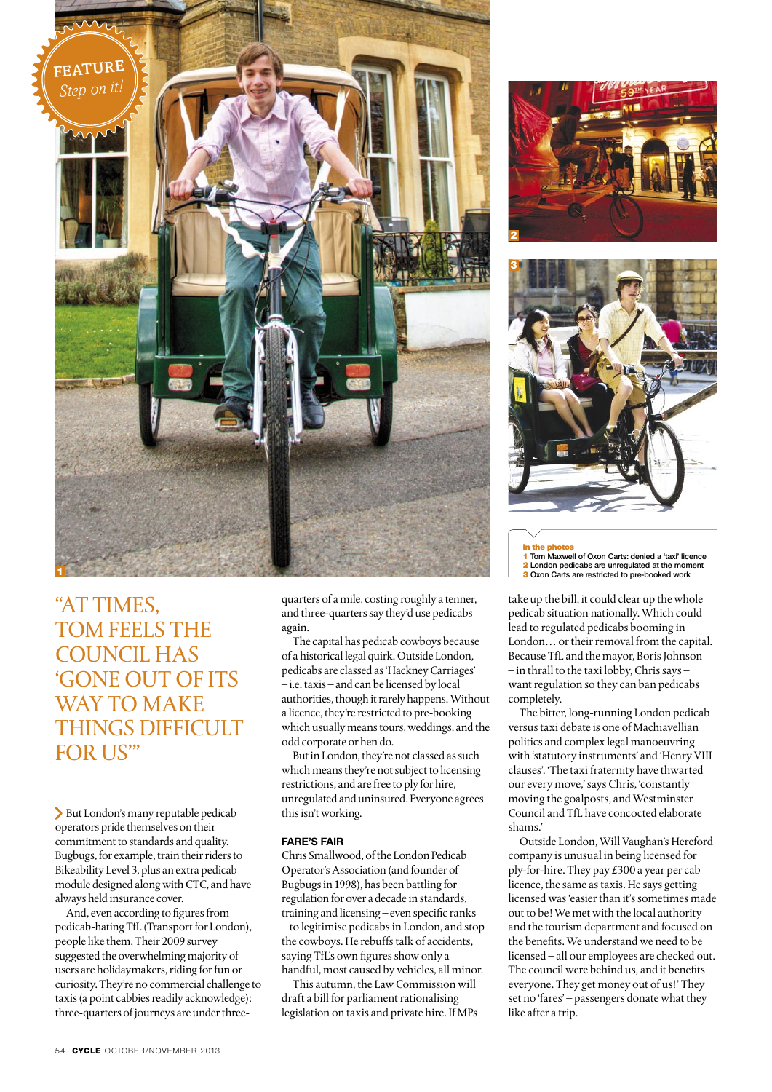

"AT TIMES, TOM FEELS THE council has 'gone out of its WAY TO MAKE things difficult FOR US"

But London's many reputable pedicab operators pride themselves on their commitment to standards and quality. Bugbugs, for example, train their riders to Bikeability Level 3, plus an extra pedicab module designed along with CTC, and have always held insurance cover.

And, even according to figures from pedicab-hating TfL (Transport for London), people like them. Their 2009 survey suggested the overwhelming majority of users are holidaymakers, riding for fun or curiosity. They're no commercial challenge to taxis (a point cabbies readily acknowledge): three-quarters of journeys are under threequarters of a mile, costing roughly a tenner, and three-quarters say they'd use pedicabs again.

The capital has pedicab cowboys because of a historical legal quirk. Outside London, pedicabs are classed as 'Hackney Carriages' – i.e. taxis – and can be licensed by local authorities, though it rarely happens. Without a licence, they're restricted to pre-booking – which usually means tours, weddings, and the odd corporate or hen do.

But in London, they're not classed as such – which means they're not subject to licensing restrictions, and are free to ply for hire, unregulated and uninsured. Everyone agrees this isn't working.

## **Fare's fair**

Chris Smallwood, of the London Pedicab Operator's Association (and founder of Bugbugs in 1998), has been battling for regulation for over a decade in standards, training and licensing – even specific ranks – to legitimise pedicabs in London, and stop the cowboys. He rebuffs talk of accidents, saying TfL's own figures show only a handful, most caused by vehicles, all minor.

This autumn, the Law Commission will draft a bill for parliament rationalising legislation on taxis and private hire. If MPs





In the photos 1 **Tom Maxwell of Oxon Carts: denied a 'taxi' licence**

<sup>2</sup>**London pedicabs are unregulated at the moment <sup>1</sup>** <sup>3</sup>**Oxon Carts are restricted to pre-booked work** 

take up the bill, it could clear up the whole pedicab situation nationally. Which could lead to regulated pedicabs booming in London… or their removal from the capital. Because TfL and the mayor, Boris Johnson – in thrall to the taxi lobby, Chris says – want regulation so they can ban pedicabs completely.

The bitter, long-running London pedicab versus taxi debate is one of Machiavellian politics and complex legal manoeuvring with 'statutory instruments' and 'Henry VIII clauses'. 'The taxi fraternity have thwarted our every move,' says Chris, 'constantly moving the goalposts, and Westminster Council and TfL have concocted elaborate shams.'

Outside London, Will Vaughan's Hereford company is unusual in being licensed for ply-for-hire. They pay £300 a year per cab licence, the same as taxis. He says getting licensed was 'easier than it's sometimes made out to be! We met with the local authority and the tourism department and focused on the benefits. We understand we need to be licensed – all our employees are checked out. The council were behind us, and it benefits everyone. They get money out of us!' They set no 'fares' – passengers donate what they like after a trip.